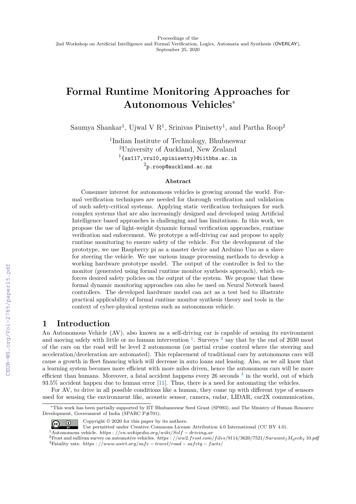# **Formal Runtime Monitoring Approaches for Autonomous Vehicles**<sup>∗</sup>

Saumya Shankar<sup>1</sup>, Ujwal V R<sup>1</sup>, Srinivas Pinisetty<sup>1</sup>, and Partha Roop<sup>2</sup>

1 Indian Institute of Technology, Bhubneswar <sup>2</sup>University of Auckland, New Zealand  $^{1}\{ss117, vru10, spinisetty\}$ @iitbbs.ac.in  $^2$ p.roop@auckland.ac.nz

#### **Abstract**

Consumer interest for autonomous vehicles is growing around the world. Formal verification techniques are needed for thorough verification and validation of such safety-critical systems. Applying static verification techniques for such complex systems that are also increasingly designed and developed using Artificial Intelligence based approaches is challenging and has limitations. In this work, we propose the use of light-weight dynamic formal verification approaches, runtime verification and enforcement. We prototype a self-driving car and propose to apply runtime monitoring to ensure safety of the vehicle. For the development of the prototype, we use Raspberry pi as a master device and Arduino Uno as a slave for steering the vehicle. We use various image processing methods to develop a working hardware prototype model. The output of the controller is fed to the monitor (generated using formal runtime monitor synthesis approach), which enforces desired safety policies on the output of the system. We propose that these formal dynamic monitoring approaches can also be used on Neural Network based controllers. The developed hardware model can act as a test bed to illustrate practical applicability of formal runtime monitor synthesis theory and tools in the context of cyber-physical systems such as autonomous vehicle.

## **1 Introduction**

An Autonomous Vehicle (AV), also known as a self-driving car is capable of sensing its environment and moving safely with little or no human intervention  $1$ . Surveys  $2$  say that by the end of 2030 most of the cars on the road will be level 2 autonomous (or partial cruise control where the steering and acceleration/deceleration are automated). This replacement of traditional cars by autonomous cars will cause a growth in fleet financing which will decrease in auto loans and leasing. Also, as we all know that a learning system becomes more efficient with more miles driven, hence the autonomous cars will be more efficient than humans. Moreover, a fatal accident happens every 26 seconds <sup>[3](#page-0-2)</sup> in the world, out of which 93.5% accident happen due to human error [\[11\]](#page--1-0). Thus, there is a need for automating the vehicles.

For AV, to drive in all possible conditions like a human, they come up with different type of sensors used for sensing the environment like, acoustic sensor, camera, radar, LIDAR, car2X communication,

Copyright © 2020 for this paper by its authors.

<sup>∗</sup>This work has been partially supported by IIT Bhubaneswar Seed Grant (SP093), and The Ministry of Human Resource Development, Government of India (SPARC P#701).

 $\odot$   $\odot$ Use permitted under Creative Commons License Attribution 4.0 International (CC BY 4.0).

<span id="page-0-0"></span><sup>1</sup>Autonomous vehicle. *https* : *//en.wikipedia.org/wiki/Self* − *drivingcar*

<span id="page-0-2"></span><span id="page-0-1"></span><sup>2</sup>Frost and sullivan survey on automotive vehicles. *https* : *//ww*2*.frost.com/f iles/*9114*/*3620*/*7521*/SarwantIMdeck<sup>V</sup>* 10*.pdf* <sup>3</sup>Fatality rate. *https* : *//www.asirt.org/safe* − *travel/road* − *safety* − *facts/*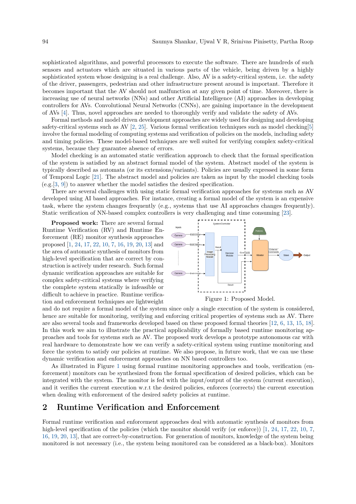sophisticated algorithms, and powerful processors to execute the software. There are hundreds of such sensors and actuators which are situated in various parts of the vehicle, being driven by a highly sophisticated system whose designing is a real challenge. Also, AV is a safety-critical system, i.e. the safety of the driver, passengers, pedestrian and other infrastructure present around is important. Therefore it becomes important that the AV should not malfunction at any given point of time. Moreover, there is increasing use of neural networks (NNs) and other Artificial Intelligence (AI) approaches in developing controllers for AVs. Convolutional Neural Networks (CNNs), are gaining importance in the development of AVs [\[4\]](#page-4-0). Thus, novel approaches are needed to thoroughly verify and validate the safety of AVs.

Formal methods and model driven development approaches are widely used for designing and developing safety-critical systems such as AV  $[2, 25]$  $[2, 25]$  $[2, 25]$ . Various formal verification techniques such as model checking  $[5]$ involve the formal modeling of computing systems and verification of policies on the models, including safety and timing policies. These model-based techniques are well suited for verifying complex safety-critical systems, because they guarantee absence of errors.

Model checking is an automated static verification approach to check that the formal specification of the system is satisfied by an abstract formal model of the system. Abstract model of the system is typically described as automata (or its extensions/variants). Policies are usually expressed in some form of Temporal Logic [\[21\]](#page-5-1). The abstract model and policies are taken as input by the model checking tools (e.g.[\[3,](#page-4-3) [9\]](#page-4-4)) to answer whether the model satisfies the desired specification.

There are several challenges with using static formal verification approaches for systems such as AV developed using AI based approaches. For instance, creating a formal model of the system is an expensive task, where the system changes frequently (e.g., systems that use AI approaches changes frequently). Static verification of NN-based complex controllers is very challenging and time consuming [\[23\]](#page-5-2).

<span id="page-1-0"></span>**Proposed work:** There are several formal Runtime Verification (RV) and Runtime Enforcement (RE) monitor synthesis approaches proposed [\[1,](#page-4-5) [24,](#page-5-3) [17,](#page-5-4) [22,](#page-5-5) [10,](#page-4-6) [7,](#page-4-7) [16,](#page-5-6) [19,](#page-5-7) [20,](#page-5-8) [13\]](#page-4-8) and the area of automatic synthesis of monitors from high-level specification that are correct by construction is actively under research. Such formal dynamic verification approaches are suitable for complex safety-critical systems where verifying the complete system statically is infeasible or difficult to achieve in practice. Runtime verification and enforcement techniques are lightweight



and do not require a formal model of the system since only a single execution of the system is considered, hence are suitable for monitoring, verifying and enforcing critical properties of systems such as AV. There are also several tools and frameworks developed based on these proposed formal theories [\[12,](#page-4-9) [6,](#page-4-10) [13,](#page-4-8) [15,](#page-4-11) [18\]](#page-5-9). In this work we aim to illustrate the practical applicability of formally based runtime monitoring approaches and tools for systems such as AV. The proposed work develops a prototype autonomous car with real hardware to demonstrate how we can verify a safety-critical system using runtime monitoring and force the system to satisfy our policies at runtime. We also propose, in future work, that we can use these dynamic verification and enforcement approaches on NN based controllers too.

As illustrated in Figure [1](#page-1-0) using formal runtime monitoring approaches and tools, verification (enforcement) monitors can be synthesized from the formal specification of desired policies, which can be integrated with the system. The monitor is fed with the input/output of the system (current execution), and it verifies the current execution w.r.t the desired policies, enforces (corrects) the current execution when dealing with enforcement of the desired safety policies at runtime.

## **2 Runtime Verification and Enforcement**

Formal runtime verification and enforcement approaches deal with automatic synthesis of monitors from high-level specification of the policies (which the monitor should verify (or enforce)) [\[1,](#page-4-5) [24,](#page-5-3) [17,](#page-5-4) [22,](#page-5-5) [10,](#page-4-6) [7,](#page-4-7) [16,](#page-5-6) [19,](#page-5-7) [20,](#page-5-8) [13\]](#page-4-8), that are correct-by-construction. For generation of monitors, knowledge of the system being monitored is not necessary (i.e., the system being monitored can be considered as a black-box). Monitors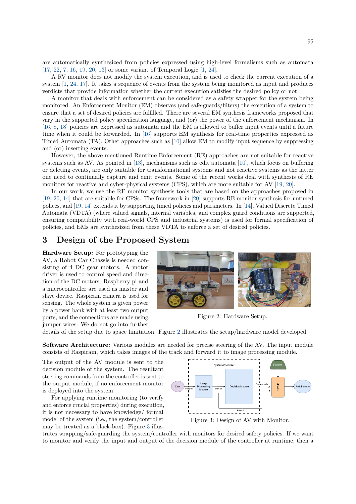are automatically synthesized from policies expressed using high-level formalisms such as automata [\[17,](#page-5-4) [22,](#page-5-5) [7,](#page-4-7) [16,](#page-5-6) [19,](#page-5-7) [20,](#page-5-8) [13\]](#page-4-8) or some variant of Temporal Logic [\[1,](#page-4-5) [24\]](#page-5-3).

A RV monitor does not modify the system execution, and is used to check the current execution of a system [\[1,](#page-4-5) [24,](#page-5-3) [17\]](#page-5-4). It takes a sequence of events from the system being monitored as input and produces verdicts that provide information whether the current execution satisfies the desired policy or not.

A monitor that deals with enforcement can be considered as a safety wrapper for the system being monitored. An Enforcement Monitor (EM) observes (and safe-guards/filters) the execution of a system to ensure that a set of desired policies are fulfilled. There are several EM synthesis frameworks proposed that vary in the supported policy specification language, and (or) the power of the enforcement mechanism. In [\[16,](#page-5-6) [8,](#page-4-12) [18\]](#page-5-9) policies are expressed as automata and the EM is allowed to buffer input events until a future time when it could be forwarded. In [\[16\]](#page-5-6) supports EM synthesis for real-time properties expressed as Timed Automata (TA). Other approaches such as [\[10\]](#page-4-6) allow EM to modify input sequence by suppressing and (or) inserting events.

However, the above mentioned Runtime Enforcement (RE) approaches are not suitable for reactive systems such as AV. As pointed in [\[13\]](#page-4-8), mechanisms such as edit automata [\[10\]](#page-4-6), which focus on buffering or deleting events, are only suitable for transformational systems and not reactive systems as the latter one need to continually capture and emit events. Some of the recent works deal with synthesis of RE monitors for reactive and cyber-physical systems (CPS), which are more suitable for AV [\[19,](#page-5-7) [20\]](#page-5-8).

In our work, we use the RE monitor synthesis tools that are based on the approaches proposed in [\[19,](#page-5-7) [20,](#page-5-8) [14\]](#page-4-13) that are suitable for CPSs. The framework in [\[20\]](#page-5-8) supports RE monitor synthesis for untimed polices, and [\[19,](#page-5-7) [14\]](#page-4-13) extends it by supporting timed policies and parameters. In [\[14\]](#page-4-13), Valued Discrete Timed Automata (VDTA) (where valued signals, internal variables, and complex guard conditions are supported, ensuring compatibility with real-world CPS and industrial systems) is used for formal specification of policies, and EMs are synthesized from these VDTA to enforce a set of desired policies.

#### **3 Design of the Proposed System**

<span id="page-2-0"></span>**Hardware Setup:** For prototyping the AV, a Robot Car Chassis is needed consisting of 4 DC gear motors. A motor driver is used to control speed and direction of the DC motors. Raspberry pi and a microcontroller are used as master and slave device. Raspicam camera is used for sensing. The whole system is given power by a power bank with at least two output ports, and the connections are made using jumper wires. We do not go into further



Figure 2: Hardware Setup.

details of the setup due to space limitation. Figure [2](#page-2-0) illustrates the setup/hardware model developed.

**Software Architecture:** Various modules are needed for precise steering of the AV. The input module consists of Raspicam, which takes images of the track and forward it to image processing module.

<span id="page-2-1"></span>The output of the AV module is sent to the decision module of the system. The resultant steering commands from the controller is sent to the output module, if no enforcement monitor is deployed into the system.

For applying runtime monitoring (to verify and enforce crucial properties) during execution, it is not necessary to have knowledge/ formal model of the system (i.e., the system/controller may be treated as a black-box). Figure [3](#page-2-1) illus-



trates wrapping/safe-guarding the system/controller with monitors for desired safety policies. If we want to monitor and verify the input and output of the decision module of the controller at runtime, then a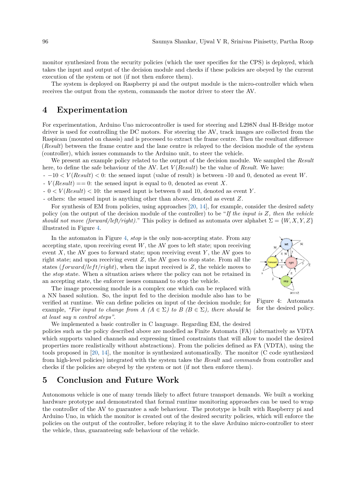monitor synthesized from the security policies (which the user specifies for the CPS) is deployed, which takes the input and output of the decision module and checks if these policies are obeyed by the current execution of the system or not (if not then enforce them).

The system is deployed on Raspberry pi and the output module is the micro-controller which when receives the output from the system, commands the motor driver to steer the AV.

## **4 Experimentation**

For experimentation, Arduino Uno microcontroller is used for steering and L298N dual H-Bridge motor driver is used for controlling the DC motors. For steering the AV, track images are collected from the Raspicam (mounted on chassis) and is processed to extract the frame centre. Then the resultant difference (*Result*) between the frame centre and the lane centre is relayed to the decision module of the system (controller), which issues commands to the Arduino unit, to steer the vehicle.

We present an example policy related to the output of the decision module. We sampled the *Result* here, to define the safe behaviour of the AV. Let *V* (*Result*) be the value of *Result*. We have:

- −10 *< V* (*Result*) *<* 0: the sensed input (value of result) is between -10 and 0, denoted as event *W*.

 $V(Result) == 0$ : the sensed input is equal to 0, denoted as event *X*.

- 0 *< V* (*Result*) *<* 10: the sensed input is between 0 and 10, denoted as event *Y* .

- others: the sensed input is anything other than above, denoted as event *Z*.

For synthesis of EM from policies, using approaches [\[20,](#page-5-8) [14\]](#page-4-13), for example, consider the desired safety policy (on the output of the decision module of the controller) to be "*If the input is Z, then the vehicle should not move (forward/left/right).*" This policy is defined as automata over alphabet  $\Sigma = \{W, X, Y, Z\}$ illustrated in Figure [4.](#page-3-0)

<span id="page-3-0"></span>In the automaton in Figure [4,](#page-3-0) *stop* is the only non-accepting state. From any accepting state, upon receiving event *W*, the AV goes to left state; upon receiving event  $X$ , the AV goes to forward state; upon receiving event  $Y$ , the AV goes to right state; and upon receiving event *Z*, the AV goes to stop state. From all the states ( $forward/left/right$ ), when the input received is  $Z$ , the vehicle moves to the *stop* state. When a situation arises where the policy can not be retained in an accepting state, the enforcer issues command to stop the vehicle.

The image processing module is a complex one which can be replaced with a NN based solution. So, the input fed to the decision module also has to be verified at runtime. We can define policies on input of the decision module; for example, *"For input to change from A (* $A \in \Sigma$ *) to B (* $B \in \Sigma$ *), there should be at least say n control steps"*.



Figure 4: Automata for the desired policy.

We implemented a basic controller in C language. Regarding EM, the desired policies such as the policy described above are modelled as Finite Automata (FA) (alternatively as VDTA which supports valued channels and expressing timed constraints that will allow to model the desired properties more realistically without abstractions). From the policies defined as FA (VDTA), using the tools proposed in [\[20,](#page-5-8) [14\]](#page-4-13), the monitor is synthesized automatically. The monitor (C code synthesized from high-level policies) integrated with the system takes the *Result* and *commands* from controller and checks if the policies are obeyed by the system or not (if not then enforce them).

#### **5 Conclusion and Future Work**

Autonomous vehicle is one of many trends likely to affect future transport demands. We built a working hardware prototype and demonstrated that formal runtime monitoring approaches can be used to wrap the controller of the AV to guarantee a safe behaviour. The prototype is built with Raspberry pi and Arduino Uno, in which the monitor is created out of the desired security policies, which will enforce the policies on the output of the controller, before relaying it to the slave Arduino micro-controller to steer the vehicle, thus, guaranteeing safe behaviour of the vehicle.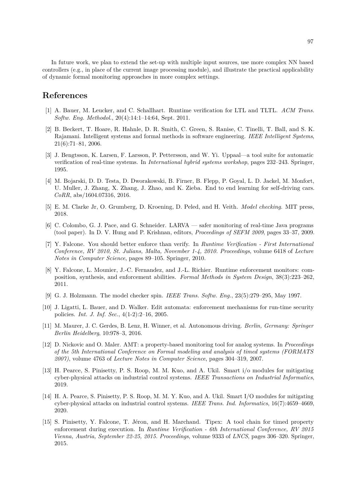In future work, we plan to extend the set-up with multiple input sources, use more complex NN based controllers (e.g., in place of the current image processing module), and illustrate the practical applicability of dynamic formal monitoring approaches in more complex settings.

### **References**

- <span id="page-4-5"></span>[1] A. Bauer, M. Leucker, and C. Schallhart. Runtime verification for LTL and TLTL. *ACM Trans. Softw. Eng. Methodol.*, 20(4):14:1–14:64, Sept. 2011.
- <span id="page-4-1"></span>[2] B. Beckert, T. Hoare, R. Hahnle, D. R. Smith, C. Green, S. Ranise, C. Tinelli, T. Ball, and S. K. Rajamani. Intelligent systems and formal methods in software engineering. *IEEE Intelligent Systems*, 21(6):71–81, 2006.
- <span id="page-4-3"></span>[3] J. Bengtsson, K. Larsen, F. Larsson, P. Pettersson, and W. Yi. Uppaal—a tool suite for automatic verification of real-time systems. In *International hybrid systems workshop*, pages 232–243. Springer, 1995.
- <span id="page-4-0"></span>[4] M. Bojarski, D. D. Testa, D. Dworakowski, B. Firner, B. Flepp, P. Goyal, L. D. Jackel, M. Monfort, U. Muller, J. Zhang, X. Zhang, J. Zhao, and K. Zieba. End to end learning for self-driving cars. *CoRR*, abs/1604.07316, 2016.
- <span id="page-4-2"></span>[5] E. M. Clarke Jr, O. Grumberg, D. Kroening, D. Peled, and H. Veith. *Model checking*. MIT press, 2018.
- <span id="page-4-10"></span>[6] C. Colombo, G. J. Pace, and G. Schneider. LARVA — safer monitoring of real-time Java programs (tool paper). In D. V. Hung and P. Krishnan, editors, *Proceedings of SEFM 2009*, pages 33–37, 2009.
- <span id="page-4-7"></span>[7] Y. Falcone. You should better enforce than verify. In *Runtime Verification - First International Conference, RV 2010, St. Julians, Malta, November 1-4, 2010. Proceedings*, volume 6418 of *Lecture Notes in Computer Science*, pages 89–105. Springer, 2010.
- <span id="page-4-12"></span>[8] Y. Falcone, L. Mounier, J.-C. Fernandez, and J.-L. Richier. Runtime enforcement monitors: composition, synthesis, and enforcement abilities. *Formal Methods in System Design*, 38(3):223–262, 2011.
- <span id="page-4-4"></span>[9] G. J. Holzmann. The model checker spin. *IEEE Trans. Softw. Eng.*, 23(5):279–295, May 1997.
- <span id="page-4-6"></span>[10] J. Ligatti, L. Bauer, and D. Walker. Edit automata: enforcement mechanisms for run-time security policies. *Int. J. Inf. Sec.*, 4(1-2):2–16, 2005.
- [11] M. Maurer, J. C. Gerdes, B. Lenz, H. Winner, et al. Autonomous driving. *Berlin, Germany: Springer Berlin Heidelberg*, 10:978–3, 2016.
- <span id="page-4-9"></span>[12] D. Nickovic and O. Maler. AMT: a property-based monitoring tool for analog systems. In *Proceedings of the 5th International Conference on Formal modeling and analysis of timed systems (FORMATS 2007)*, volume 4763 of *Lecture Notes in Computer Science*, pages 304–319, 2007.
- <span id="page-4-8"></span>[13] H. Pearce, S. Pinisetty, P. S. Roop, M. M. Kuo, and A. Ukil. Smart i/o modules for mitigating cyber-physical attacks on industrial control systems. *IEEE Transactions on Industrial Informatics*, 2019.
- <span id="page-4-13"></span>[14] H. A. Pearce, S. Pinisetty, P. S. Roop, M. M. Y. Kuo, and A. Ukil. Smart I/O modules for mitigating cyber-physical attacks on industrial control systems. *IEEE Trans. Ind. Informatics*, 16(7):4659–4669, 2020.
- <span id="page-4-11"></span>[15] S. Pinisetty, Y. Falcone, T. Jéron, and H. Marchand. Tipex: A tool chain for timed property enforcement during execution. In *Runtime Verification - 6th International Conference, RV 2015 Vienna, Austria, September 22-25, 2015. Proceedings*, volume 9333 of *LNCS*, pages 306–320. Springer, 2015.